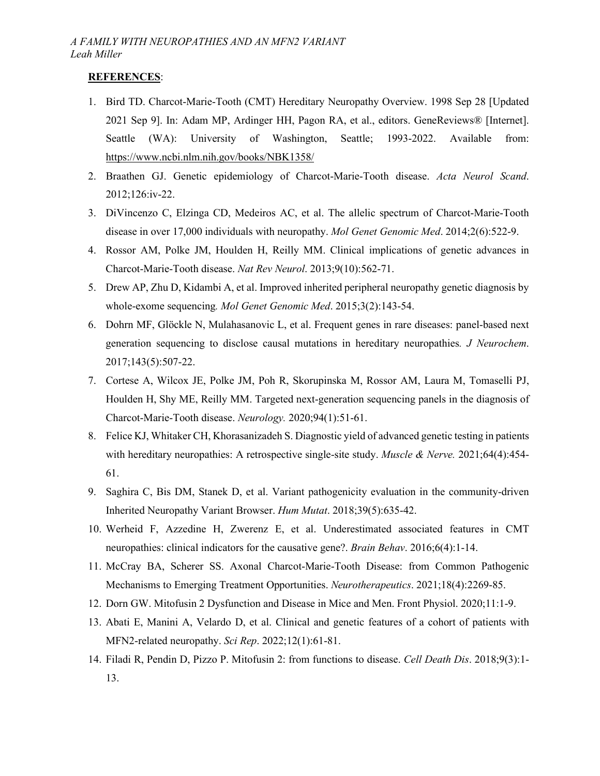## **REFERENCES**:

- 1. Bird TD. Charcot-Marie-Tooth (CMT) Hereditary Neuropathy Overview. 1998 Sep 28 [Updated 2021 Sep 9]. In: Adam MP, Ardinger HH, Pagon RA, et al., editors. GeneReviews® [Internet]. Seattle (WA): University of Washington, Seattle; 1993-2022. Available from: <https://www.ncbi.nlm.nih.gov/books/NBK1358/>
- 2. Braathen GJ. Genetic epidemiology of Charcot-Marie-Tooth disease. *Acta Neurol Scand*. 2012;126:iv-22.
- 3. DiVincenzo C, Elzinga CD, Medeiros AC, et al. The allelic spectrum of Charcot-Marie-Tooth disease in over 17,000 individuals with neuropathy. *Mol Genet Genomic Med*. 2014;2(6):522-9.
- 4. Rossor AM, Polke JM, Houlden H, Reilly MM. Clinical implications of genetic advances in Charcot-Marie-Tooth disease. *Nat Rev Neurol*. 2013;9(10):562-71.
- 5. Drew AP, Zhu D, Kidambi A, et al. Improved inherited peripheral neuropathy genetic diagnosis by whole‐exome sequencing*. Mol Genet Genomic Med*. 2015;3(2):143-54.
- 6. Dohrn MF, Glöckle N, Mulahasanovic L, et al. Frequent genes in rare diseases: panel-based next generation sequencing to disclose causal mutations in hereditary neuropathies*. J Neurochem*. 2017;143(5):507-22.
- 7. Cortese A, Wilcox JE, Polke JM, Poh R, Skorupinska M, Rossor AM, Laura M, Tomaselli PJ, Houlden H, Shy ME, Reilly MM. Targeted next-generation sequencing panels in the diagnosis of Charcot-Marie-Tooth disease. *Neurology.* 2020;94(1):51-61.
- 8. Felice KJ, Whitaker CH, Khorasanizadeh S. Diagnostic yield of advanced genetic testing in patients with hereditary neuropathies: A retrospective single-site study. *Muscle & Nerve.* 2021;64(4):454-61.
- 9. Saghira C, Bis DM, Stanek D, et al. Variant pathogenicity evaluation in the community-driven Inherited Neuropathy Variant Browser. *Hum Mutat*. 2018;39(5):635-42.
- 10. Werheid F, Azzedine H, Zwerenz E, et al. Underestimated associated features in CMT neuropathies: clinical indicators for the causative gene?. *Brain Behav*. 2016;6(4):1-14.
- 11. McCray BA, Scherer SS. Axonal Charcot-Marie-Tooth Disease: from Common Pathogenic Mechanisms to Emerging Treatment Opportunities. *Neurotherapeutics*. 2021;18(4):2269-85.
- 12. Dorn GW. Mitofusin 2 Dysfunction and Disease in Mice and Men. Front Physiol. 2020;11:1-9.
- 13. Abati E, Manini A, Velardo D, et al. Clinical and genetic features of a cohort of patients with MFN2-related neuropathy. *Sci Rep*. 2022;12(1):61-81.
- 14. Filadi R, Pendin D, Pizzo P. Mitofusin 2: from functions to disease. *Cell Death Dis*. 2018;9(3):1- 13.